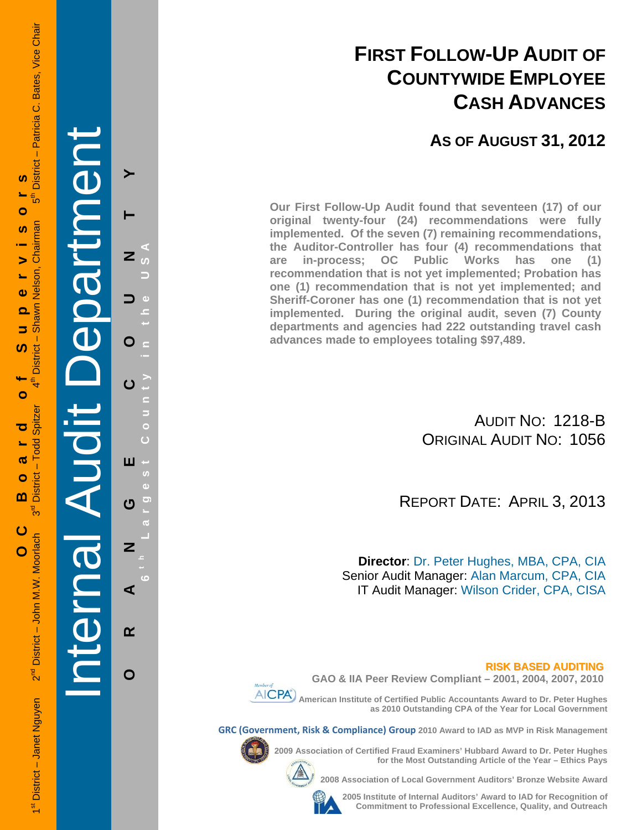## **FIRST FOLLOW-UP AUDIT OF COUNTYWIDE EMPLOYEE CASH ADVANCES**

**AS OF AUGUST 31, 2012**

**Our First Follow-Up Audit found that seventeen (17) of our original twenty-four (24) recommendations were fully implemented. Of the seven (7) remaining recommendations, the Auditor-Controller has four (4) recommendations that are in-process; OC Public Works has one (1) recommendation that is not yet implemented; Probation has one (1) recommendation that is not yet implemented; and Sheriff-Coroner has one (1) recommendation that is not yet implemented. During the original audit, seven (7) County departments and agencies had 222 outstanding travel cash advances made to employees totaling \$97,489.**

> AUDIT NO: 1218-B ORIGINAL AUDIT NO: 1056

REPORT DATE: APRIL 3, 2013

**Director**: Dr. Peter Hughes, MBA, CPA, CIA Senior Audit Manager: Alan Marcum, CPA, CIA IT Audit Manager: Wilson Crider, CPA, CISA

**RISK BASED AUDITING**



**GAO & IIA Peer Review Compliant – 2001, 2004, 2007, 2010** 

 **American Institute of Certified Public Accountants Award to Dr. Peter Hughes as 2010 Outstanding CPA of the Year for Local Government** 

**GRC (Government, Risk & Compliance) Group 2010 Award to IAD as MVP in Risk Management** 

**2009 Association of Certified Fraud Examiners' Hubbard Award to Dr. Peter Hughes** 



**2008 Association of Local Government Auditors' Bronze Website Award** 



**2005 Institute of Internal Auditors' Award to IAD for Recognition of Commitment to Professional Excellence, Quality, and Outreach**

**for the Most Outstanding Article of the Year – Ethics Pays** 

1st District – Janet Nguyen 2<sup>nd</sup> District – John M.W. Moorlach 3<sup>rd</sup> District – Todd Spitzer 4th District – Shawn Nelson, Chairman 5th District – Patricia C. Bates, Vice Chair District - Patricia C. Bates, Vice Chair Ŵ **OC Board of Supervisors** ້ຳ⊳ Ó Chairman ഗ 5 Nelson,  $\bullet$ nawn ൎ စ် 5 ഗ **District** O - Todd Spitzer ರ  $\boldsymbol{\sigma}$ District - $\bullet$ m შ<br>თ ပ 2<sup>nd</sup> District - John M.W. Moorlach 1<sup>st</sup> District - Janet Nguyen

Internal Audit Department

**ORANGE COUNTY 6 t h Lar**

ш

ෆ

Z

⋖

 $\alpha$ 

O

**g**

**est Count**

**y in the USA** 

Z

O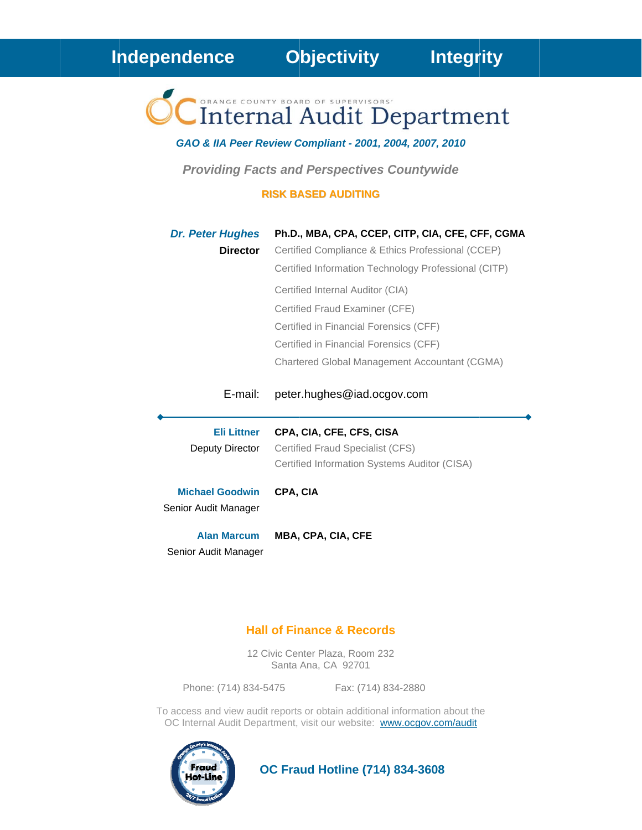Internal Audit Department

GAO & IIA Peer Review Compliant - 2001, 2004, 2007, 2010

**Providing Facts and Perspectives Countywide** 

### **RISK BASED AUDITING**

| <b>Dr. Peter Hughes</b><br><b>Director</b>     | Ph.D., MBA, CPA, CCEP, CITP, CIA, CFE, CFF, CGMA<br>Certified Compliance & Ethics Professional (CCEP)<br>Certified Information Technology Professional (CITP)<br>Certified Internal Auditor (CIA)<br>Certified Fraud Examiner (CFE)<br>Certified in Financial Forensics (CFF)<br>Certified in Financial Forensics (CFF)<br>Chartered Global Management Accountant (CGMA) |
|------------------------------------------------|--------------------------------------------------------------------------------------------------------------------------------------------------------------------------------------------------------------------------------------------------------------------------------------------------------------------------------------------------------------------------|
| E-mail:                                        | peter.hughes@iad.ocgov.com                                                                                                                                                                                                                                                                                                                                               |
| <b>Eli Littner</b><br>Deputy Director          | CPA, CIA, CFE, CFS, CISA<br>Certified Fraud Specialist (CFS)<br>Certified Information Systems Auditor (CISA)                                                                                                                                                                                                                                                             |
| <b>Michael Goodwin</b><br>Senior Audit Manager | CPA, CIA                                                                                                                                                                                                                                                                                                                                                                 |
| <b>Alan Marcum</b><br>Senior Audit Manager     | <b>MBA, CPA, CIA, CFE</b>                                                                                                                                                                                                                                                                                                                                                |

### **Hall of Finance & Records**

12 Civic Center Plaza, Room 232 Santa Ana, CA 92701

Phone: (714) 834-5475 Fax: (714) 834-2880

To access and view audit reports or obtain additional information about the OC Internal Audit Department, visit our website: www.ocgov.com/audit



**OC Fraud Hotline (714) 834-3608**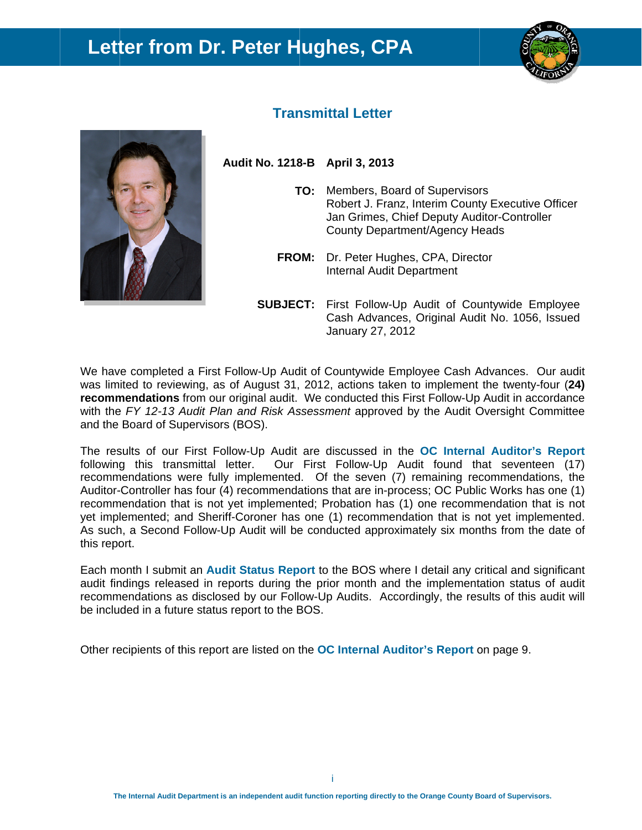## Letter from Dr. Peter Hughes, CPA





## **Transmittal Letter**

Audit No. 1218-B April 3, 2013

- TO: Members, Board of Supervisors Robert J. Franz, Interim County Executive Officer Jan Grimes, Chief Deputy Auditor-Controller County Department/Agency Heads
- **FROM:** Dr. Peter Hughes, CPA, Director Internal Audit Department
- **SUBJECT:** First Follow-Up Audit of Countywide Employee Cash Advances, Original Audit No. 1056, Issued January 27, 2012

We have completed a First Follow-Up Audit of Countywide Employee Cash Advances. Our audit was limited to reviewing, as of August 31, 2012, actions taken to implement the twenty-four (24) recommendations from our original audit. We conducted this First Follow-Up Audit in accordance with the FY 12-13 Audit Plan and Risk Assessment approved by the Audit Oversight Committee and the Board of Supervisors (BOS).

The results of our First Follow-Up Audit are discussed in the OC Internal Auditor's Report following this transmittal letter. Our First Follow-Up Audit found that seventeen (17) recommendations were fully implemented. Of the seven (7) remaining recommendations, the Auditor-Controller has four (4) recommendations that are in-process; OC Public Works has one (1) recommendation that is not yet implemented; Probation has (1) one recommendation that is not yet implemented; and Sheriff-Coroner has one (1) recommendation that is not yet implemented. As such, a Second Follow-Up Audit will be conducted approximately six months from the date of this report.

Each month I submit an Audit Status Report to the BOS where I detail any critical and significant audit findings released in reports during the prior month and the implementation status of audit recommendations as disclosed by our Follow-Up Audits. Accordingly, the results of this audit will be included in a future status report to the BOS.

Other recipients of this report are listed on the **OC** Internal Auditor's Report on page 9.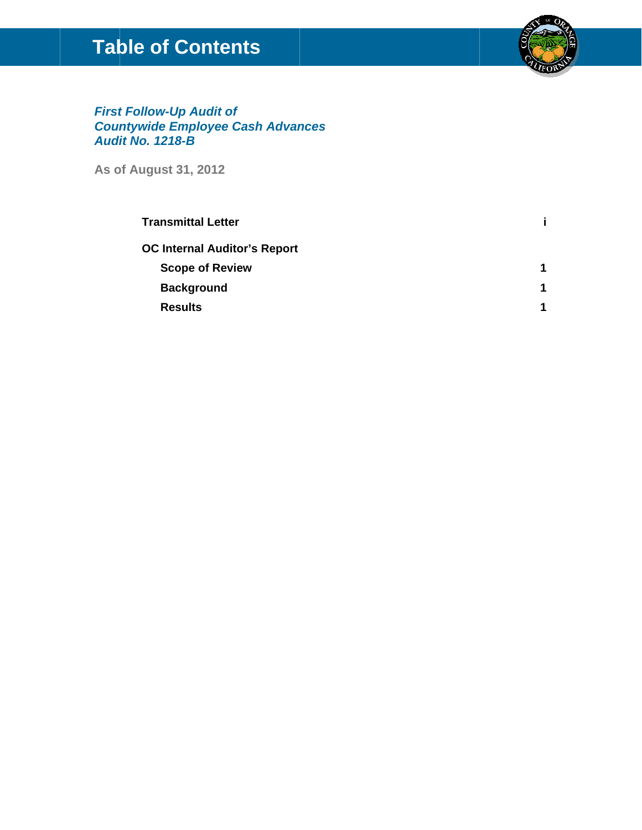## **Table of Contents**



**First Follow-Up Audit of<br>Countywide Employee Cash Advances<br>Audit No. 1218-B** 

**As of August 31, 2012** 

| <b>Transmittal Letter</b>           |  |
|-------------------------------------|--|
| <b>OC Internal Auditor's Report</b> |  |
| <b>Scope of Review</b>              |  |
| <b>Background</b>                   |  |
| <b>Results</b>                      |  |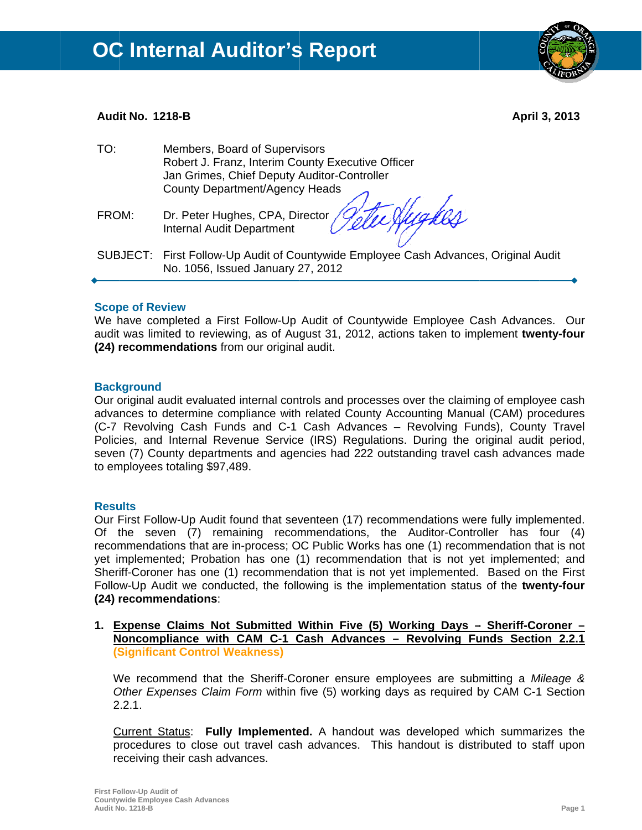### Audit No. 1218-B

April 3, 2013

| TO:   | Members, Board of Supervisors<br>Robert J. Franz, Interim County Executive Officer<br>Jan Grimes, Chief Deputy Auditor-Controller<br>County Department/Agency Heads |
|-------|---------------------------------------------------------------------------------------------------------------------------------------------------------------------|
| FROM: | Dr. Peter Hughes, CPA, Director <i>(Inte Aughes)</i><br><b>Internal Audit Department</b>                                                                            |
|       | SUBJECT: First Follow-Up Audit of Countywide Employee Cash Advances, Original Audit<br>No. 1056, Issued January 27, 2012                                            |

### **Scope of Review**

We have completed a First Follow-Up Audit of Countywide Employee Cash Advances. Our audit was limited to reviewing, as of August 31, 2012, actions taken to implement twenty-four (24) recommendations from our original audit.

### **Background**

Our original audit evaluated internal controls and processes over the claiming of employee cash advances to determine compliance with related County Accounting Manual (CAM) procedures (C-7 Revolving Cash Funds and C-1 Cash Advances - Revolving Funds), County Travel Policies, and Internal Revenue Service (IRS) Regulations. During the original audit period, seven (7) County departments and agencies had 222 outstanding travel cash advances made to employees totaling \$97,489.

### **Results**

Our First Follow-Up Audit found that seventeen (17) recommendations were fully implemented. Of the seven (7) remaining recommendations, the Auditor-Controller has four (4) recommendations that are in-process; OC Public Works has one (1) recommendation that is not yet implemented; Probation has one (1) recommendation that is not yet implemented; and Sheriff-Coroner has one (1) recommendation that is not yet implemented. Based on the First Follow-Up Audit we conducted, the following is the implementation status of the twenty-four (24) recommendations:

1. Expense Claims Not Submitted Within Five (5) Working Days - Sheriff-Coroner -Noncompliance with CAM C-1 Cash Advances - Revolving Funds Section 2.2.1 **(Significant Control Weakness)** 

We recommend that the Sheriff-Coroner ensure employees are submitting a Mileage & Other Expenses Claim Form within five (5) working days as required by CAM C-1 Section  $2.2.1.$ 

Current Status: Fully Implemented. A handout was developed which summarizes the procedures to close out travel cash advances. This handout is distributed to staff upon receiving their cash advances.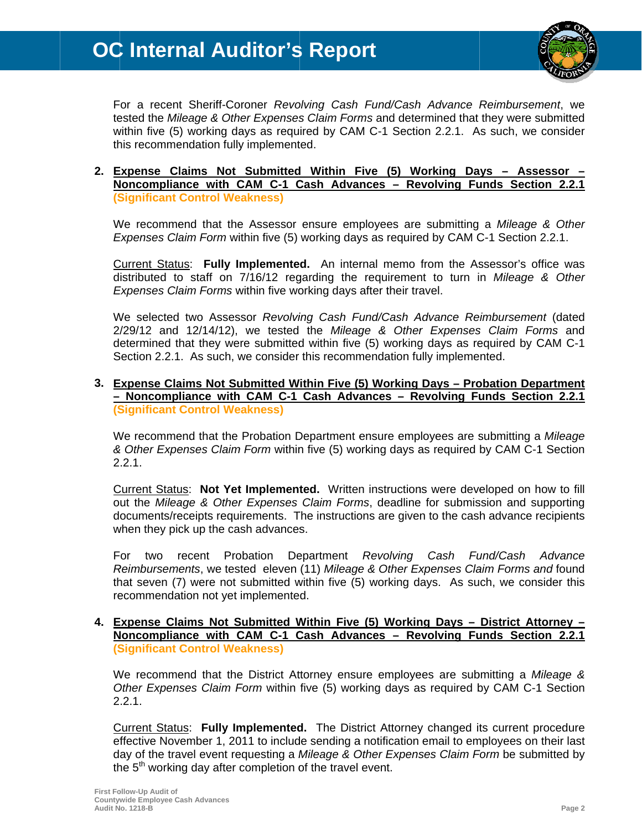# **OC Internal Auditor's Report**



For a recent Sheriff-Coroner Revolving Cash Fund/Cash Advance Reimbursement, we tested the Mileage & Other Expenses Claim Forms and determined that they were submitted within five (5) working days as required by CAM C-1 Section 2.2.1. As such, we consider this recommendation fully implemented.

### 2. Expense Claims Not Submitted Within Five (5) Working Days - Assessor -Noncompliance with CAM C-1 Cash Advances - Revolving Funds Section 2.2.1 **(Significant Control Weakness)**

We recommend that the Assessor ensure employees are submitting a Mileage & Other Expenses Claim Form within five (5) working days as required by CAM C-1 Section 2.2.1.

Current Status: Fully Implemented. An internal memo from the Assessor's office was distributed to staff on 7/16/12 regarding the requirement to turn in Mileage & Other Expenses Claim Forms within five working days after their travel.

We selected two Assessor Revolving Cash Fund/Cash Advance Reimbursement (dated 2/29/12 and 12/14/12), we tested the Mileage & Other Expenses Claim Forms and determined that they were submitted within five (5) working days as required by CAM C-1 Section 2.2.1. As such, we consider this recommendation fully implemented.

### 3. Expense Claims Not Submitted Within Five (5) Working Days - Probation Department - Noncompliance with CAM C-1 Cash Advances - Revolving Funds Section 2.2.1 **(Significant Control Weakness)**

We recommend that the Probation Department ensure employees are submitting a Mileage & Other Expenses Claim Form within five (5) working days as required by CAM C-1 Section  $2.2.1.$ 

Current Status: Not Yet Implemented. Written instructions were developed on how to fill out the Mileage & Other Expenses Claim Forms, deadline for submission and supporting documents/receipts requirements. The instructions are given to the cash advance recipients when they pick up the cash advances.

Probation Department Revolvina Fund/Cash For two recent Cash Advance Reimbursements, we tested eleven (11) Mileage & Other Expenses Claim Forms and found that seven (7) were not submitted within five (5) working days. As such, we consider this recommendation not yet implemented.

### 4. Expense Claims Not Submitted Within Five (5) Working Days - District Attorney -Noncompliance with CAM C-1 Cash Advances - Revolving Funds Section 2.2.1 **(Significant Control Weakness)**

We recommend that the District Attorney ensure employees are submitting a Mileage & Other Expenses Claim Form within five (5) working days as required by CAM C-1 Section  $2.2.1.$ 

Current Status: Fully Implemented. The District Attorney changed its current procedure effective November 1, 2011 to include sending a notification email to employees on their last day of the travel event requesting a Mileage & Other Expenses Claim Form be submitted by the 5<sup>th</sup> working day after completion of the travel event.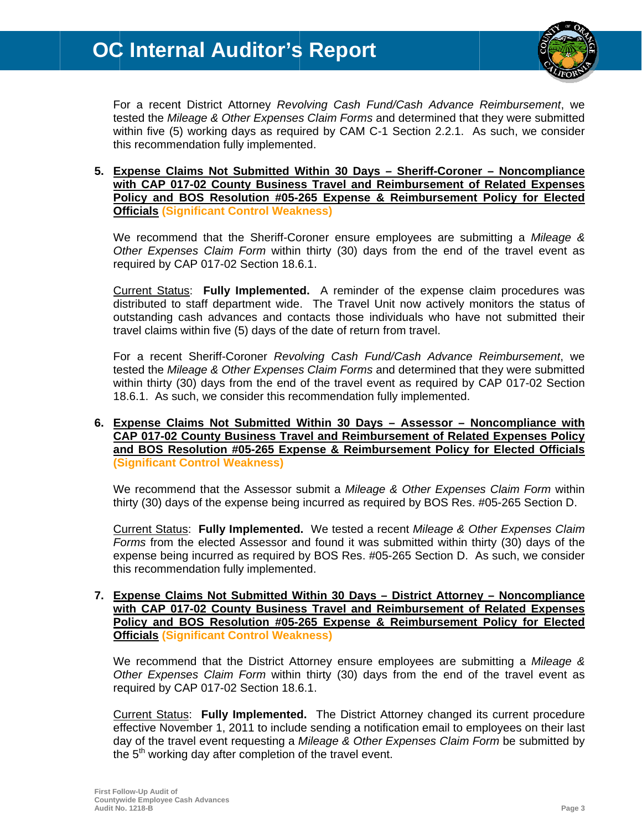

For a recent District Attorney Revolving Cash Fund/Cash Advance Reimbursement, we tested the Mileage & Other Expenses Claim Forms and determined that they were submitted within five (5) working days as required by CAM C-1 Section 2.2.1. As such, we consider this recommendation fully implemented.

5. Expense Claims Not Submitted Within 30 Days - Sheriff-Coroner - Noncompliance with CAP 017-02 County Business Travel and Reimbursement of Related Expenses Policy and BOS Resolution #05-265 Expense & Reimbursement Policy for Elected **Officials (Significant Control Weakness)** 

We recommend that the Sheriff-Coroner ensure employees are submitting a Mileage & Other Expenses Claim Form within thirty (30) days from the end of the travel event as required by CAP 017-02 Section 18.6.1.

Current Status: Fully Implemented. A reminder of the expense claim procedures was distributed to staff department wide. The Travel Unit now actively monitors the status of outstanding cash advances and contacts those individuals who have not submitted their travel claims within five (5) days of the date of return from travel.

For a recent Sheriff-Coroner Revolving Cash Fund/Cash Advance Reimbursement, we tested the Mileage & Other Expenses Claim Forms and determined that they were submitted within thirty (30) days from the end of the travel event as required by CAP 017-02 Section 18.6.1. As such, we consider this recommendation fully implemented.

### 6. Expense Claims Not Submitted Within 30 Days - Assessor - Noncompliance with CAP 017-02 County Business Travel and Reimbursement of Related Expenses Policy and BOS Resolution #05-265 Expense & Reimbursement Policy for Elected Officials **(Significant Control Weakness)**

We recommend that the Assessor submit a Mileage & Other Expenses Claim Form within thirty (30) days of the expense being incurred as required by BOS Res. #05-265 Section D.

Current Status: Fully Implemented. We tested a recent Mileage & Other Expenses Claim Forms from the elected Assessor and found it was submitted within thirty (30) days of the expense being incurred as required by BOS Res. #05-265 Section D. As such, we consider this recommendation fully implemented.

### 7. Expense Claims Not Submitted Within 30 Days - District Attorney - Noncompliance with CAP 017-02 County Business Travel and Reimbursement of Related Expenses Policy and BOS Resolution #05-265 Expense & Reimbursement Policy for Elected **Officials (Significant Control Weakness)**

We recommend that the District Attorney ensure employees are submitting a Mileage & Other Expenses Claim Form within thirty (30) days from the end of the travel event as required by CAP 017-02 Section 18.6.1.

Current Status: Fully Implemented. The District Attorney changed its current procedure effective November 1, 2011 to include sending a notification email to employees on their last day of the travel event requesting a Mileage & Other Expenses Claim Form be submitted by the 5<sup>th</sup> working day after completion of the travel event.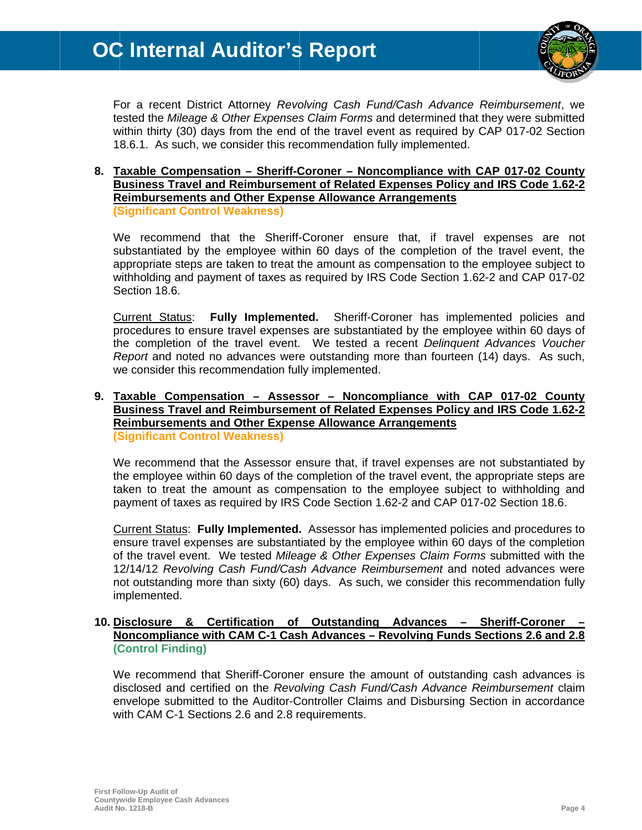

For a recent District Attorney Revolving Cash Fund/Cash Advance Reimbursement, we tested the Mileage & Other Expenses Claim Forms and determined that they were submitted within thirty (30) days from the end of the travel event as required by CAP 017-02 Section 18.6.1. As such, we consider this recommendation fully implemented.

### 8. Taxable Compensation - Sheriff-Coroner - Noncompliance with CAP 017-02 County Business Travel and Reimbursement of Related Expenses Policy and IRS Code 1.62-2 **Reimbursements and Other Expense Allowance Arrangements (Significant Control Weakness)**

We recommend that the Sheriff-Coroner ensure that, if travel expenses are not substantiated by the employee within 60 days of the completion of the travel event, the appropriate steps are taken to treat the amount as compensation to the employee subject to withholding and payment of taxes as required by IRS Code Section 1.62-2 and CAP 017-02 Section 18.6.

Current Status: **Fully Implemented.** Sheriff-Coroner has implemented policies and procedures to ensure travel expenses are substantiated by the employee within 60 days of the completion of the travel event. We tested a recent Delinguent Advances Voucher Report and noted no advances were outstanding more than fourteen (14) days. As such, we consider this recommendation fully implemented.

### 9. Taxable Compensation - Assessor - Noncompliance with CAP 017-02 County Business Travel and Reimbursement of Related Expenses Policy and IRS Code 1.62-2 **Reimbursements and Other Expense Allowance Arrangements (Significant Control Weakness)**

We recommend that the Assessor ensure that, if travel expenses are not substantiated by the employee within 60 days of the completion of the travel event, the appropriate steps are taken to treat the amount as compensation to the employee subject to withholding and payment of taxes as required by IRS Code Section 1.62-2 and CAP 017-02 Section 18.6.

Current Status: Fully Implemented. Assessor has implemented policies and procedures to ensure travel expenses are substantiated by the employee within 60 days of the completion of the travel event. We tested Mileage & Other Expenses Claim Forms submitted with the 12/14/12 Revolving Cash Fund/Cash Advance Reimbursement and noted advances were not outstanding more than sixty (60) days. As such, we consider this recommendation fully implemented.

#### 10. Disclosure & Certification of **Outstanding Advances Sheriff-Coroner** Noncompliance with CAM C-1 Cash Advances - Revolving Funds Sections 2.6 and 2.8 (Control Finding)

We recommend that Sheriff-Coroner ensure the amount of outstanding cash advances is disclosed and certified on the Revolving Cash Fund/Cash Advance Reimbursement claim envelope submitted to the Auditor-Controller Claims and Disbursing Section in accordance with CAM C-1 Sections 2.6 and 2.8 requirements.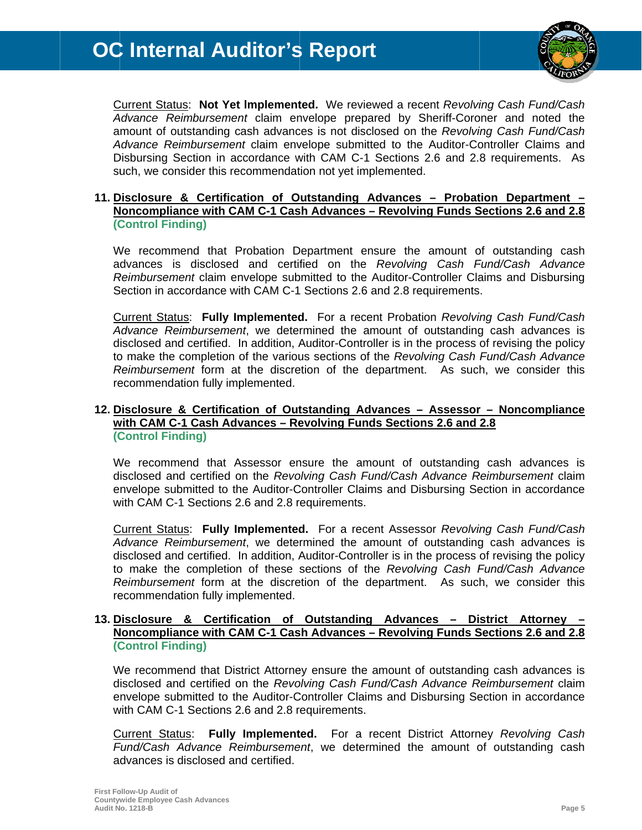

Current Status: Not Yet Implemented. We reviewed a recent Revolving Cash Fund/Cash Advance Reimbursement claim envelope prepared by Sheriff-Coroner and noted the amount of outstanding cash advances is not disclosed on the Revolving Cash Fund/Cash Advance Reimbursement claim envelope submitted to the Auditor-Controller Claims and Disbursing Section in accordance with CAM C-1 Sections 2.6 and 2.8 requirements. As such, we consider this recommendation not yet implemented.

### 11. Disclosure & Certification of Outstanding Advances - Probation Department -Noncompliance with CAM C-1 Cash Advances - Revolving Funds Sections 2.6 and 2.8 (Control Finding)

We recommend that Probation Department ensure the amount of outstanding cash advances is disclosed and certified on the Revolving Cash Fund/Cash Advance Reimbursement claim envelope submitted to the Auditor-Controller Claims and Disbursing Section in accordance with CAM C-1 Sections 2.6 and 2.8 requirements.

Current Status: Fully Implemented. For a recent Probation Revolving Cash Fund/Cash Advance Reimbursement, we determined the amount of outstanding cash advances is disclosed and certified. In addition, Auditor-Controller is in the process of revising the policy to make the completion of the various sections of the Revolving Cash Fund/Cash Advance Reimbursement form at the discretion of the department. As such, we consider this recommendation fully implemented.

### 12. Disclosure & Certification of Outstanding Advances - Assessor - Noncompliance with CAM C-1 Cash Advances - Revolving Funds Sections 2.6 and 2.8 (Control Finding)

We recommend that Assessor ensure the amount of outstanding cash advances is disclosed and certified on the Revolving Cash Fund/Cash Advance Reimbursement claim envelope submitted to the Auditor-Controller Claims and Disbursing Section in accordance with CAM C-1 Sections 2.6 and 2.8 requirements.

Current Status: Fully Implemented. For a recent Assessor Revolving Cash Fund/Cash Advance Reimbursement, we determined the amount of outstanding cash advances is disclosed and certified. In addition, Auditor-Controller is in the process of revising the policy to make the completion of these sections of the Revolving Cash Fund/Cash Advance Reimbursement form at the discretion of the department. As such, we consider this recommendation fully implemented.

### 13. Disclosure & Certification of Outstanding Advances - District Attorney Noncompliance with CAM C-1 Cash Advances - Revolving Funds Sections 2.6 and 2.8 (Control Finding)

We recommend that District Attorney ensure the amount of outstanding cash advances is disclosed and certified on the Revolving Cash Fund/Cash Advance Reimbursement claim envelope submitted to the Auditor-Controller Claims and Disbursing Section in accordance with CAM C-1 Sections 2.6 and 2.8 requirements.

Current Status: **Fully Implemented.** For a recent District Attorney Revolving Cash Fund/Cash Advance Reimbursement, we determined the amount of outstanding cash advances is disclosed and certified.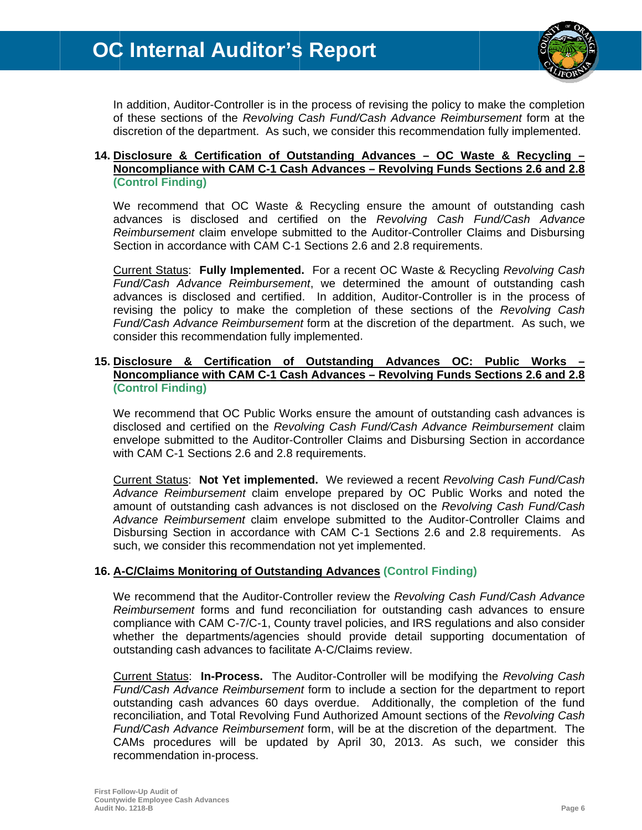

In addition, Auditor-Controller is in the process of revising the policy to make the completion of these sections of the Revolving Cash Fund/Cash Advance Reimbursement form at the discretion of the department. As such, we consider this recommendation fully implemented.

### 14. Disclosure & Certification of Outstanding Advances - OC Waste & Recycling -Noncompliance with CAM C-1 Cash Advances - Revolving Funds Sections 2.6 and 2.8 (Control Finding)

We recommend that OC Waste & Recycling ensure the amount of outstanding cash advances is disclosed and certified on the Revolving Cash Fund/Cash Advance Reimbursement claim envelope submitted to the Auditor-Controller Claims and Disbursing Section in accordance with CAM C-1 Sections 2.6 and 2.8 requirements.

Current Status: Fully Implemented. For a recent OC Waste & Recycling Revolving Cash Fund/Cash Advance Reimbursement, we determined the amount of outstanding cash advances is disclosed and certified. In addition, Auditor-Controller is in the process of revising the policy to make the completion of these sections of the Revolving Cash Fund/Cash Advance Reimbursement form at the discretion of the department. As such, we consider this recommendation fully implemented.

### 15. Disclosure & Certification of Outstanding Advances OC: Public Works Noncompliance with CAM C-1 Cash Advances - Revolving Funds Sections 2.6 and 2.8 **(Control Finding)**

We recommend that OC Public Works ensure the amount of outstanding cash advances is disclosed and certified on the Revolving Cash Fund/Cash Advance Reimbursement claim envelope submitted to the Auditor-Controller Claims and Disbursing Section in accordance with CAM C-1 Sections 2.6 and 2.8 requirements.

Current Status: Not Yet implemented. We reviewed a recent Revolving Cash Fund/Cash Advance Reimbursement claim envelope prepared by OC Public Works and noted the amount of outstanding cash advances is not disclosed on the Revolving Cash Fund/Cash Advance Reimbursement claim envelope submitted to the Auditor-Controller Claims and Disbursing Section in accordance with CAM C-1 Sections 2.6 and 2.8 requirements. As such, we consider this recommendation not yet implemented.

### 16. A-C/Claims Monitoring of Outstanding Advances (Control Finding)

We recommend that the Auditor-Controller review the Revolving Cash Fund/Cash Advance Reimbursement forms and fund reconciliation for outstanding cash advances to ensure compliance with CAM C-7/C-1, County travel policies, and IRS regulations and also consider whether the departments/agencies should provide detail supporting documentation of outstanding cash advances to facilitate A-C/Claims review.

Current Status: In-Process. The Auditor-Controller will be modifying the Revolving Cash Fund/Cash Advance Reimbursement form to include a section for the department to report outstanding cash advances 60 days overdue. Additionally, the completion of the fund reconciliation, and Total Revolving Fund Authorized Amount sections of the Revolving Cash Fund/Cash Advance Reimbursement form, will be at the discretion of the department. The CAMs procedures will be updated by April 30, 2013. As such, we consider this recommendation in-process.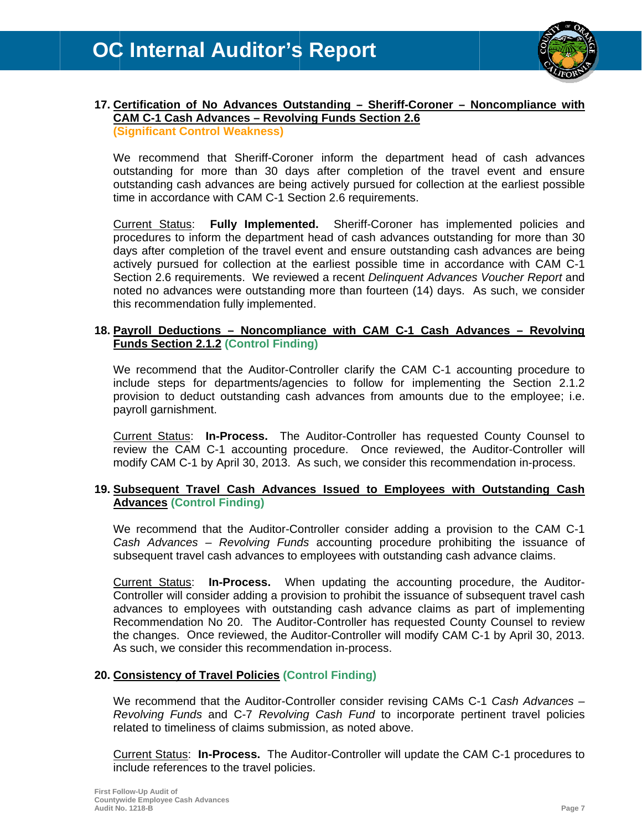

### 17. Certification of No Advances Outstanding - Sheriff-Coroner - Noncompliance with **CAM C-1 Cash Advances - Revolving Funds Section 2.6 (Significant Control Weakness)**

We recommend that Sheriff-Coroner inform the department head of cash advances outstanding for more than 30 days after completion of the travel event and ensure outstanding cash advances are being actively pursued for collection at the earliest possible time in accordance with CAM C-1 Section 2.6 requirements.

**Current Status: Fully Implemented.** Sheriff-Coroner has implemented policies and procedures to inform the department head of cash advances outstanding for more than 30 days after completion of the travel event and ensure outstanding cash advances are being actively pursued for collection at the earliest possible time in accordance with CAM C-1 Section 2.6 requirements. We reviewed a recent Delinguent Advances Voucher Report and noted no advances were outstanding more than fourteen (14) days. As such, we consider this recommendation fully implemented.

### 18. Payroll Deductions - Noncompliance with CAM C-1 Cash Advances - Revolving **Funds Section 2.1.2 (Control Finding)**

We recommend that the Auditor-Controller clarify the CAM C-1 accounting procedure to include steps for departments/agencies to follow for implementing the Section 2.1.2 provision to deduct outstanding cash advances from amounts due to the employee; i.e. payroll garnishment.

Current Status: In-Process. The Auditor-Controller has requested County Counsel to review the CAM C-1 accounting procedure. Once reviewed, the Auditor-Controller will modify CAM C-1 by April 30, 2013. As such, we consider this recommendation in-process.

### 19. Subsequent Travel Cash Advances Issued to Employees with Outstanding Cash **Advances (Control Finding)**

We recommend that the Auditor-Controller consider adding a provision to the CAM C-1 Cash Advances – Revolving Funds accounting procedure prohibiting the issuance of subsequent travel cash advances to employees with outstanding cash advance claims.

**Current Status:** In-Process. When updating the accounting procedure, the Auditor-Controller will consider adding a provision to prohibit the issuance of subsequent travel cash advances to employees with outstanding cash advance claims as part of implementing Recommendation No 20. The Auditor-Controller has requested County Counsel to review the changes. Once reviewed, the Auditor-Controller will modify CAM C-1 by April 30, 2013. As such, we consider this recommendation in-process.

### 20. Consistency of Travel Policies (Control Finding)

We recommend that the Auditor-Controller consider revising CAMs C-1 Cash Advances -Revolving Funds and C-7 Revolving Cash Fund to incorporate pertinent travel policies related to timeliness of claims submission, as noted above.

Current Status: In-Process. The Auditor-Controller will update the CAM C-1 procedures to include references to the travel policies.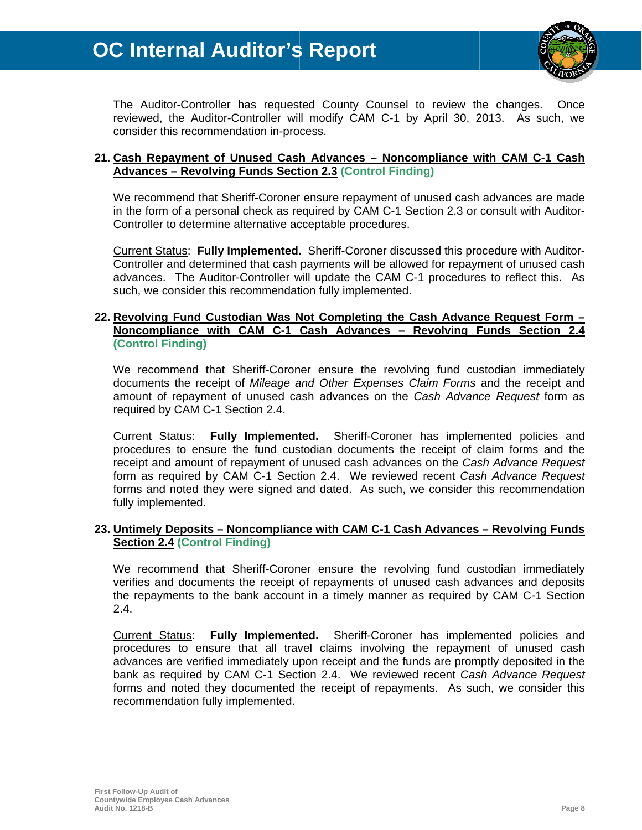

The Auditor-Controller has requested County Counsel to review the changes. Once reviewed, the Auditor-Controller will modify CAM C-1 by April 30, 2013. As such, we consider this recommendation in-process.

### 21. Cash Repayment of Unused Cash Advances – Noncompliance with CAM C-1 Cash **Advances - Revolving Funds Section 2.3 (Control Finding)**

We recommend that Sheriff-Coroner ensure repayment of unused cash advances are made in the form of a personal check as required by CAM C-1 Section 2.3 or consult with Auditor-Controller to determine alternative acceptable procedures.

Current Status: Fully Implemented. Sheriff-Coroner discussed this procedure with Auditor-Controller and determined that cash payments will be allowed for repayment of unused cash advances. The Auditor-Controller will update the CAM C-1 procedures to reflect this. As such, we consider this recommendation fully implemented.

### 22. Revolving Fund Custodian Was Not Completing the Cash Advance Request Form -Noncompliance with CAM C-1 Cash Advances - Revolving Funds Section 2.4 (Control Finding)

We recommend that Sheriff-Coroner ensure the revolving fund custodian immediately documents the receipt of Mileage and Other Expenses Claim Forms and the receipt and amount of repayment of unused cash advances on the Cash Advance Request form as required by CAM C-1 Section 2.4.

Current Status: Fully Implemented. Sheriff-Coroner has implemented policies and procedures to ensure the fund custodian documents the receipt of claim forms and the receipt and amount of repayment of unused cash advances on the Cash Advance Request form as required by CAM C-1 Section 2.4. We reviewed recent Cash Advance Request forms and noted they were signed and dated. As such, we consider this recommendation fully implemented.

### 23. Untimely Deposits – Noncompliance with CAM C-1 Cash Advances – Revolving Funds **Section 2.4 (Control Finding)**

We recommend that Sheriff-Coroner ensure the revolving fund custodian immediately verifies and documents the receipt of repayments of unused cash advances and deposits the repayments to the bank account in a timely manner as required by CAM C-1 Section  $2.4.$ 

Current Status: Fully Implemented. Sheriff-Coroner has implemented policies and procedures to ensure that all travel claims involving the repayment of unused cash advances are verified immediately upon receipt and the funds are promptly deposited in the bank as required by CAM C-1 Section 2.4. We reviewed recent Cash Advance Request forms and noted they documented the receipt of repayments. As such, we consider this recommendation fully implemented.